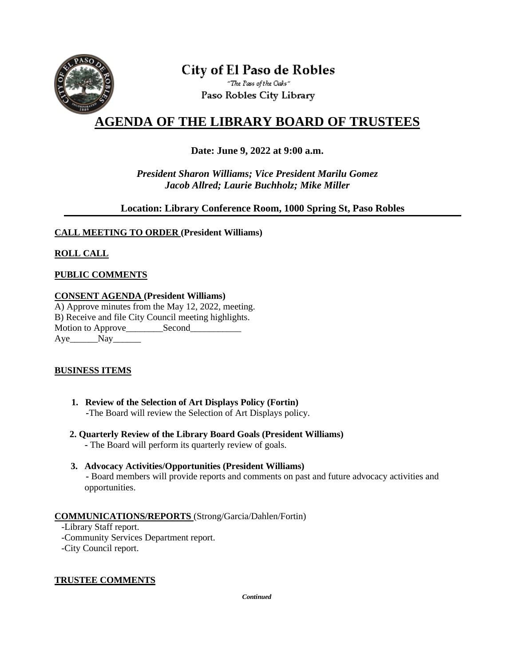

# **City of El Paso de Robles**

"The Pass of the Oaks" Paso Robles City Library

## **AGENDA OF THE LIBRARY BOARD OF TRUSTEES**

#### **Date: June 9, 2022 at 9:00 a.m.**

*President Sharon Williams; Vice President Marilu Gomez Jacob Allred; Laurie Buchholz; Mike Miller*

#### **Location: Library Conference Room, 1000 Spring St, Paso Robles**

#### **CALL MEETING TO ORDER (President Williams)**

### **ROLL CALL**

#### **PUBLIC COMMENTS**

#### **CONSENT AGENDA (President Williams)**

A) Approve minutes from the May 12, 2022, meeting. B) Receive and file City Council meeting highlights. Motion to Approve\_\_\_\_\_\_\_\_\_Second\_\_\_\_\_\_\_\_\_\_ Aye Nay

#### **BUSINESS ITEMS**

- **1. Review of the Selection of Art Displays Policy (Fortin) -**The Board will review the Selection of Art Displays policy.
- **2. Quarterly Review of the Library Board Goals (President Williams)**
	- **-** The Board will perform its quarterly review of goals.
- **3. Advocacy Activities/Opportunities (President Williams) -** Board members will provide reports and comments on past and future advocacy activities and opportunities.

#### **COMMUNICATIONS/REPORTS** (Strong/Garcia/Dahlen/Fortin)

 -Library Staff report. -Community Services Department report. -City Council report.

#### **TRUSTEE COMMENTS**